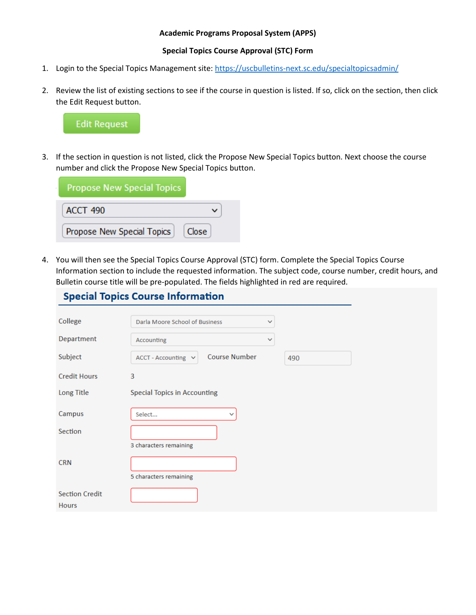## **Academic Programs Proposal System (APPS)**

## **Special Topics Course Approval (STC) Form**

- 1. Login to the Special Topics Management site[: https://uscbulletins-next.sc.edu/specialtopicsadmin/](https://uscbulletins-next.sc.edu/specialtopicsadmin/)
- 2. Review the list of existing sections to see if the course in question is listed. If so, click on the section, then click the Edit Request button.



**Contractor** 

3. If the section in question is not listed, click the Propose New Special Topics button. Next choose the course number and click the Propose New Special Topics button.

| <b>Propose New Special Topics</b>   |  |
|-------------------------------------|--|
| <b>ACCT 490</b>                     |  |
| Close<br>Propose New Special Topics |  |

4. You will then see the Special Topics Course Approval (STC) form. Complete the Special Topics Course Information section to include the requested information. The subject code, course number, credit hours, and Bulletin course title will be pre-populated. The fields highlighted in red are required.

|                       | <b>Special Topics Course Information</b>    |              |     |
|-----------------------|---------------------------------------------|--------------|-----|
| College               | Darla Moore School of Business              | $\checkmark$ |     |
| Department            | Accounting                                  | $\checkmark$ |     |
| Subject               | <b>Course Number</b><br>ACCT - Accounting v |              | 490 |
| <b>Credit Hours</b>   | 3                                           |              |     |
| Long Title            | <b>Special Topics in Accounting</b>         |              |     |
| Campus                | Select<br>$\check{ }$                       |              |     |
| Section               |                                             |              |     |
|                       | 3 characters remaining                      |              |     |
| <b>CRN</b>            |                                             |              |     |
|                       | 5 characters remaining                      |              |     |
| <b>Section Credit</b> |                                             |              |     |
| <b>Hours</b>          |                                             |              |     |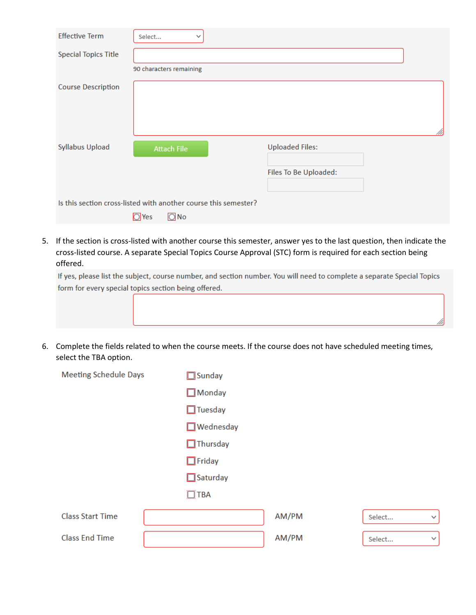| <b>Effective Term</b>                                           | Select                                  | $\checkmark$ |                        |    |
|-----------------------------------------------------------------|-----------------------------------------|--------------|------------------------|----|
| <b>Special Topics Title</b>                                     |                                         |              |                        |    |
|                                                                 | 90 characters remaining                 |              |                        |    |
| <b>Course Description</b>                                       |                                         |              |                        |    |
|                                                                 |                                         |              |                        |    |
|                                                                 |                                         |              |                        | M. |
| <b>Syllabus Upload</b>                                          | <b>Attach File</b>                      |              | <b>Uploaded Files:</b> |    |
|                                                                 |                                         |              |                        |    |
|                                                                 |                                         |              | Files To Be Uploaded:  |    |
|                                                                 |                                         |              |                        |    |
| Is this section cross-listed with another course this semester? |                                         |              |                        |    |
|                                                                 | $\overline{O}$ Yes<br>$\overline{O}$ No |              |                        |    |

5. If the section is cross-listed with another course this semester, answer yes to the last question, then indicate the cross-listed course. A separate Special Topics Course Approval (STC) form is required for each section being offered.

If yes, please list the subject, course number, and section number. You will need to complete a separate Special Topics form for every special topics section being offered.

6. Complete the fields related to when the course meets. If the course does not have scheduled meeting times, select the TBA option.

| <b>Meeting Schedule Days</b> | $\Box$ Sunday    |       |        |              |
|------------------------------|------------------|-------|--------|--------------|
|                              | $\Box$ Monday    |       |        |              |
|                              | $\Box$ Tuesday   |       |        |              |
|                              | $\Box$ Wednesday |       |        |              |
|                              | $\Box$ Thursday  |       |        |              |
|                              | $\Box$ Friday    |       |        |              |
|                              | $\Box$ Saturday  |       |        |              |
|                              | $\Box$ TBA       |       |        |              |
| <b>Class Start Time</b>      |                  | AM/PM | Select | $\checkmark$ |
| <b>Class End Time</b>        |                  | AM/PM | Select | $\checkmark$ |
|                              |                  |       |        |              |